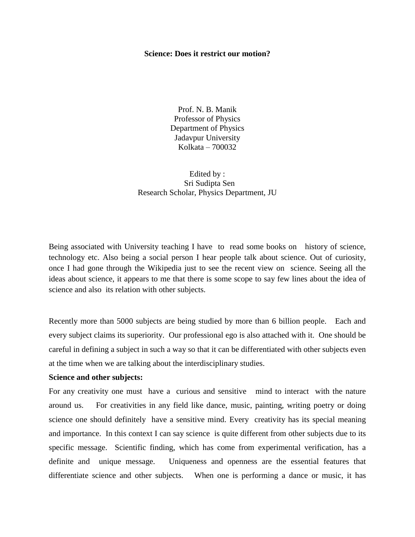### **Science: Does it restrict our motion?**

Prof. N. B. Manik Professor of Physics Department of Physics Jadavpur University Kolkata – 700032

Edited by : Sri Sudipta Sen Research Scholar, Physics Department, JU

Being associated with University teaching I have to read some books on history of science, technology etc. Also being a social person I hear people talk about science. Out of curiosity, once I had gone through the Wikipedia just to see the recent view on science. Seeing all the ideas about science, it appears to me that there is some scope to say few lines about the idea of science and also its relation with other subjects.

Recently more than 5000 subjects are being studied by more than 6 billion people. Each and every subject claims its superiority. Our professional ego is also attached with it. One should be careful in defining a subject in such a way so that it can be differentiated with other subjects even at the time when we are talking about the interdisciplinary studies.

## **Science and other subjects:**

For any creativity one must have a curious and sensitive mind to interact with the nature around us. For creativities in any field like dance, music, painting, writing poetry or doing science one should definitely have a sensitive mind. Every creativity has its special meaning and importance. In this context I can say science is quite different from other subjects due to its specific message. Scientific finding, which has come from experimental verification, has a definite and unique message. Uniqueness and openness are the essential features that differentiate science and other subjects. When one is performing a dance or music, it has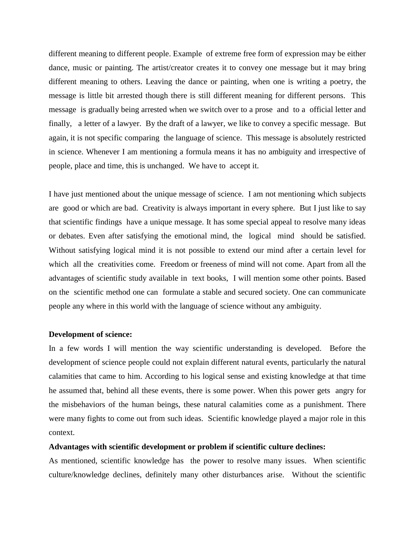different meaning to different people. Example of extreme free form of expression may be either dance, music or painting. The artist/creator creates it to convey one message but it may bring different meaning to others. Leaving the dance or painting, when one is writing a poetry, the message is little bit arrested though there is still different meaning for different persons. This message is gradually being arrested when we switch over to a prose and to a official letter and finally, a letter of a lawyer. By the draft of a lawyer, we like to convey a specific message. But again, it is not specific comparing the language of science. This message is absolutely restricted in science. Whenever I am mentioning a formula means it has no ambiguity and irrespective of people, place and time, this is unchanged. We have to accept it.

I have just mentioned about the unique message of science. I am not mentioning which subjects are good or which are bad. Creativity is always important in every sphere. But I just like to say that scientific findings have a unique message. It has some special appeal to resolve many ideas or debates. Even after satisfying the emotional mind, the logical mind should be satisfied. Without satisfying logical mind it is not possible to extend our mind after a certain level for which all the creativities come. Freedom or freeness of mind will not come. Apart from all the advantages of scientific study available in text books, I will mention some other points. Based on the scientific method one can formulate a stable and secured society. One can communicate people any where in this world with the language of science without any ambiguity.

#### **Development of science:**

In a few words I will mention the way scientific understanding is developed. Before the development of science people could not explain different natural events, particularly the natural calamities that came to him. According to his logical sense and existing knowledge at that time he assumed that, behind all these events, there is some power. When this power gets angry for the misbehaviors of the human beings, these natural calamities come as a punishment. There were many fights to come out from such ideas. Scientific knowledge played a major role in this context.

## **Advantages with scientific development or problem if scientific culture declines:**

As mentioned, scientific knowledge has the power to resolve many issues. When scientific culture/knowledge declines, definitely many other disturbances arise. Without the scientific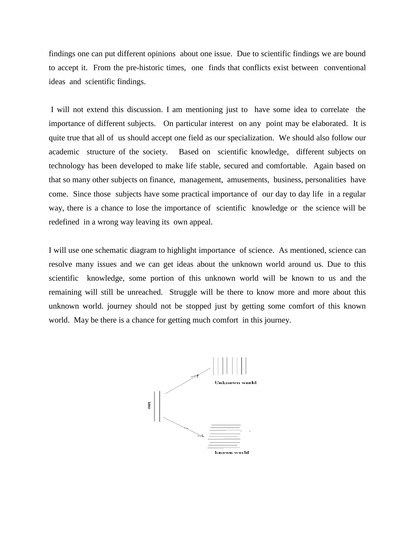findings one can put different opinions about one issue. Due to scientific findings we are bound to accept it. From the pre-historic times, one finds that conflicts exist between conventional ideas and scientific findings.

I will not extend this discussion. I am mentioning just to have some idea to correlate the importance of different subjects. On particular interest on any point may be elaborated. It is quite true that all of us should accept one field as our specialization. We should also follow our academic structure of the society. Based on scientific knowledge, different subjects on technology has been developed to make life stable, secured and comfortable. Again based on that so many other subjects on finance, management, amusements, business, personalities have come. Since those subjects have some practical importance of our day to day life in a regular way, there is a chance to lose the importance of scientific knowledge or the science will be redefined in a wrong way leaving its own appeal.

I will use one schematic diagram to highlight importance of science. As mentioned, science can resolve many issues and we can get ideas about the unknown world around us. Due to this scientific knowledge, some portion of this unknown world will be known to us and the remaining will still be unreached. Struggle will be there to know more and more about this unknown world. journey should not be stopped just by getting some comfort of this known world. May be there is a chance for getting much comfort in this journey.

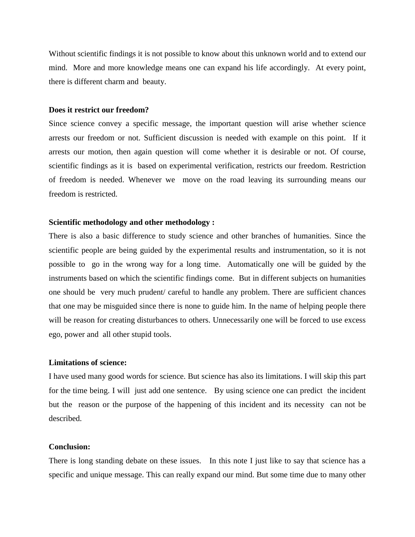Without scientific findings it is not possible to know about this unknown world and to extend our mind. More and more knowledge means one can expand his life accordingly. At every point, there is different charm and beauty.

#### **Does it restrict our freedom?**

Since science convey a specific message, the important question will arise whether science arrests our freedom or not. Sufficient discussion is needed with example on this point. If it arrests our motion, then again question will come whether it is desirable or not. Of course, scientific findings as it is based on experimental verification, restricts our freedom. Restriction of freedom is needed. Whenever we move on the road leaving its surrounding means our freedom is restricted.

# **Scientific methodology and other methodology :**

There is also a basic difference to study science and other branches of humanities. Since the scientific people are being guided by the experimental results and instrumentation, so it is not possible to go in the wrong way for a long time. Automatically one will be guided by the instruments based on which the scientific findings come. But in different subjects on humanities one should be very much prudent/ careful to handle any problem. There are sufficient chances that one may be misguided since there is none to guide him. In the name of helping people there will be reason for creating disturbances to others. Unnecessarily one will be forced to use excess ego, power and all other stupid tools.

## **Limitations of science:**

I have used many good words for science. But science has also its limitations. I will skip this part for the time being. I will just add one sentence. By using science one can predict the incident but the reason or the purpose of the happening of this incident and its necessity can not be described.

## **Conclusion:**

There is long standing debate on these issues. In this note I just like to say that science has a specific and unique message. This can really expand our mind. But some time due to many other